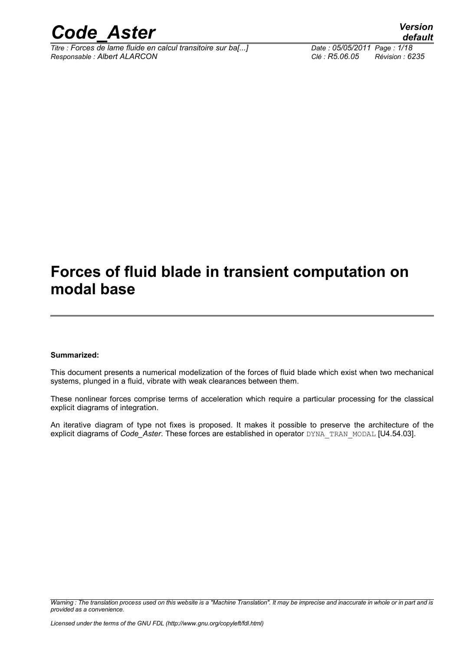

*Titre : Forces de lame fluide en calcul transitoire sur ba[...] Date : 05/05/2011 Page : 1/18 Responsable : Albert ALARCON Clé : R5.06.05 Révision : 6235*

*default*

### **Forces of fluid blade in transient computation on modal base**

#### **Summarized:**

This document presents a numerical modelization of the forces of fluid blade which exist when two mechanical systems, plunged in a fluid, vibrate with weak clearances between them.

These nonlinear forces comprise terms of acceleration which require a particular processing for the classical explicit diagrams of integration.

An iterative diagram of type not fixes is proposed. It makes it possible to preserve the architecture of the explicit diagrams of *Code\_Aster*. These forces are established in operator DYNA\_TRAN\_MODAL [U4.54.03].

*Warning : The translation process used on this website is a "Machine Translation". It may be imprecise and inaccurate in whole or in part and is provided as a convenience.*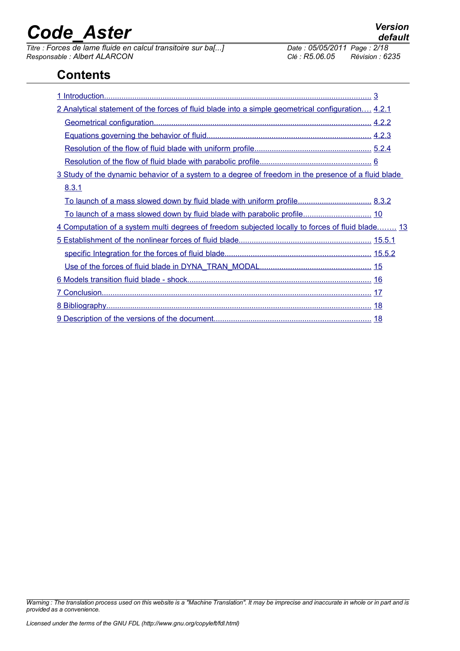*Titre : Forces de lame fluide en calcul transitoire sur ba[...] Date : 05/05/2011 Page : 2/18 Responsable : Albert ALARCON Clé : R5.06.05 Révision : 6235*

### **Contents**

| 2 Analytical statement of the forces of fluid blade into a simple geometrical configuration 4.2.1    |  |
|------------------------------------------------------------------------------------------------------|--|
|                                                                                                      |  |
|                                                                                                      |  |
|                                                                                                      |  |
|                                                                                                      |  |
| 3 Study of the dynamic behavior of a system to a degree of freedom in the presence of a fluid blade. |  |
| 8.3.1                                                                                                |  |
|                                                                                                      |  |
|                                                                                                      |  |
| 4 Computation of a system multi degrees of freedom subjected locally to forces of fluid blade 13     |  |
|                                                                                                      |  |
|                                                                                                      |  |
|                                                                                                      |  |
|                                                                                                      |  |
|                                                                                                      |  |
|                                                                                                      |  |
|                                                                                                      |  |

*Warning : The translation process used on this website is a "Machine Translation". It may be imprecise and inaccurate in whole or in part and is provided as a convenience.*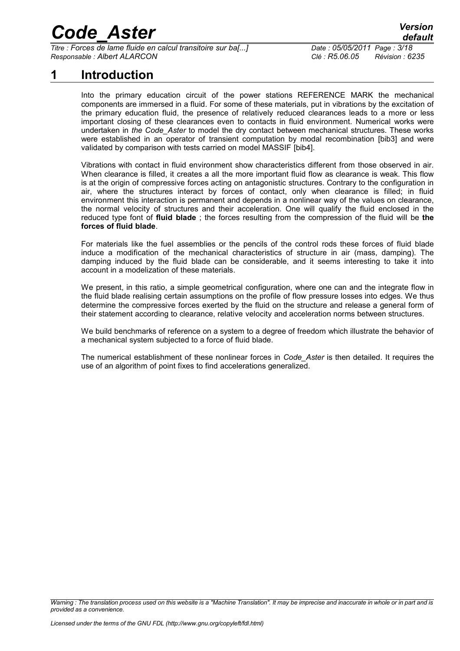*Titre : Forces de lame fluide en calcul transitoire sur ba[...] Date : 05/05/2011 Page : 3/18 Responsable : Albert ALARCON Clé : R5.06.05 Révision : 6235*

### **1 Introduction**

<span id="page-2-0"></span>Into the primary education circuit of the power stations REFERENCE MARK the mechanical components are immersed in a fluid. For some of these materials, put in vibrations by the excitation of the primary education fluid, the presence of relatively reduced clearances leads to a more or less important closing of these clearances even to contacts in fluid environment. Numerical works were undertaken in *the Code\_Aster* to model the dry contact between mechanical structures. These works were established in an operator of transient computation by modal recombination [bib3] and were validated by comparison with tests carried on model MASSIF [bib4].

Vibrations with contact in fluid environment show characteristics different from those observed in air. When clearance is filled, it creates a all the more important fluid flow as clearance is weak. This flow is at the origin of compressive forces acting on antagonistic structures. Contrary to the configuration in air, where the structures interact by forces of contact, only when clearance is filled; in fluid environment this interaction is permanent and depends in a nonlinear way of the values on clearance, the normal velocity of structures and their acceleration. One will qualify the fluid enclosed in the reduced type font of **fluid blade** ; the forces resulting from the compression of the fluid will be **the forces of fluid blade**.

For materials like the fuel assemblies or the pencils of the control rods these forces of fluid blade induce a modification of the mechanical characteristics of structure in air (mass, damping). The damping induced by the fluid blade can be considerable, and it seems interesting to take it into account in a modelization of these materials.

We present, in this ratio, a simple geometrical configuration, where one can and the integrate flow in the fluid blade realising certain assumptions on the profile of flow pressure losses into edges. We thus determine the compressive forces exerted by the fluid on the structure and release a general form of their statement according to clearance, relative velocity and acceleration norms between structures.

We build benchmarks of reference on a system to a degree of freedom which illustrate the behavior of a mechanical system subjected to a force of fluid blade.

The numerical establishment of these nonlinear forces in *Code\_Aster* is then detailed. It requires the use of an algorithm of point fixes to find accelerations generalized.

*Warning : The translation process used on this website is a "Machine Translation". It may be imprecise and inaccurate in whole or in part and is provided as a convenience.*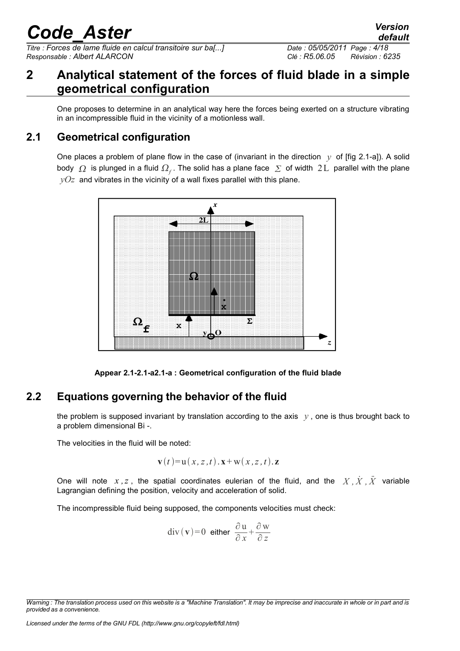*Titre : Forces de lame fluide en calcul transitoire sur ba[...] Date : 05/05/2011 Page : 4/18 Responsable : Albert ALARCON Clé : R5.06.05 Révision : 6235*

#### <span id="page-3-2"></span>**2 Analytical statement of the forces of fluid blade in a simple geometrical configuration**

One proposes to determine in an analytical way here the forces being exerted on a structure vibrating in an incompressible fluid in the vicinity of a motionless wall.

#### **2.1 Geometrical configuration**

<span id="page-3-1"></span>One places a problem of plane flow in the case of (invariant in the direction  $y$  of [fig 2.1-a]). A solid body  $\varOmega$  is plunged in a fluid  $\varOmega_f.$  The solid has a plane face  $\varSigma$  of width  $2\,\mathrm{L}$  parallel with the plane  $yOz$  and vibrates in the vicinity of a wall fixes parallel with this plane.



**Appear 2.1-2.1-a2.1-a : Geometrical configuration of the fluid blade**

#### **2.2 Equations governing the behavior of the fluid**

<span id="page-3-0"></span>the problem is supposed invariant by translation according to the axis  $y$ , one is thus brought back to a problem dimensional Bi -.

The velocities in the fluid will be noted:

$$
\mathbf{v}(t) = \mathbf{u}(x, z, t) \cdot \mathbf{x} + \mathbf{w}(x, z, t) \cdot \mathbf{z}
$$

One will note  $x, z$ , the spatial coordinates eulerian of the fluid, and the  $\overline{X}, \overline{X}, \overline{X}$  variable Lagrangian defining the position, velocity and acceleration of solid.

The incompressible fluid being supposed, the components velocities must check:

$$
\operatorname{div}(\mathbf{v}) = 0 \quad \text{either} \quad \frac{\partial \mathbf{u}}{\partial x} + \frac{\partial \mathbf{w}}{\partial z}
$$

*default*

*Warning : The translation process used on this website is a "Machine Translation". It may be imprecise and inaccurate in whole or in part and is provided as a convenience.*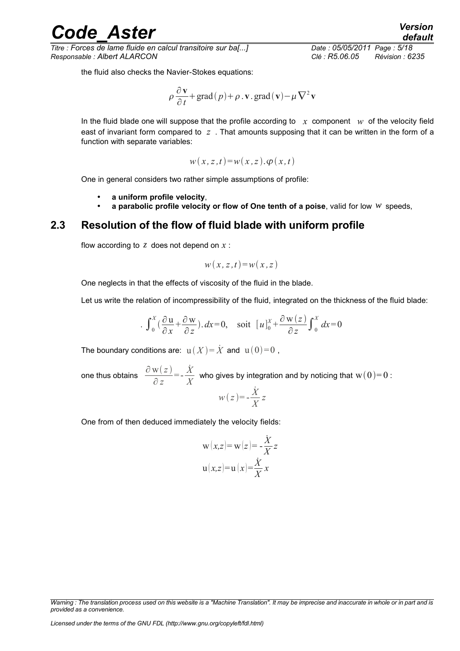*Titre : Forces de lame fluide en calcul transitoire sur ba[...] Date : 05/05/2011 Page : 5/18 Responsable : Albert ALARCON Clé : R5.06.05 Révision : 6235*

the fluid also checks the Navier-Stokes equations:

$$
\rho \frac{\partial \mathbf{v}}{\partial t} + \text{grad}(p) + \rho \cdot \mathbf{v} \cdot \text{grad}(\mathbf{v}) - \mu \nabla^2 \mathbf{v}
$$

In the fluid blade one will suppose that the profile according to  $x$  component  $w$  of the velocity field east of invariant form compared to *z* . That amounts supposing that it can be written in the form of a function with separate variables:

$$
w(x, z, t) = w(x, z) \cdot \varphi(x, t)
$$

One in general considers two rather simple assumptions of profile:

- **a uniform profile velocity**,
- **a parabolic profile velocity or flow of One tenth of a poise**, valid for low *w* speeds,

#### **2.3 Resolution of the flow of fluid blade with uniform profile**

<span id="page-4-0"></span>flow according to  $z$  does not depend on  $x$ :

$$
w(x, z, t) = w(x, z)
$$

One neglects in that the effects of viscosity of the fluid in the blade.

Let us write the relation of incompressibility of the fluid, integrated on the thickness of the fluid blade:

$$
\int_0^X \left(\frac{\partial u}{\partial x} + \frac{\partial w}{\partial z}\right) dx = 0, \text{ soit } [u]_0^X + \frac{\partial w(z)}{\partial z} \int_0^X dx = 0
$$

The boundary conditions are:  $u(X) = \dot{X}$  and  $u(0) = 0$ ,

one thus obtains 
$$
\frac{\partial w(z)}{\partial z} = -\frac{\dot{X}}{X}
$$
 who gives by integration and by noticing that  $w(0) = 0$ :  
\n
$$
w(z) = -\frac{\dot{X}}{X}z
$$

One from of then deduced immediately the velocity fields:

$$
\mathbf{w}(x,z) = \mathbf{w}(z) = -\frac{\dot{X}}{X}z
$$

$$
\mathbf{u}(x,z) = \mathbf{u}(x) = \frac{\dot{X}}{X}x
$$

*Warning : The translation process used on this website is a "Machine Translation". It may be imprecise and inaccurate in whole or in part and is provided as a convenience.*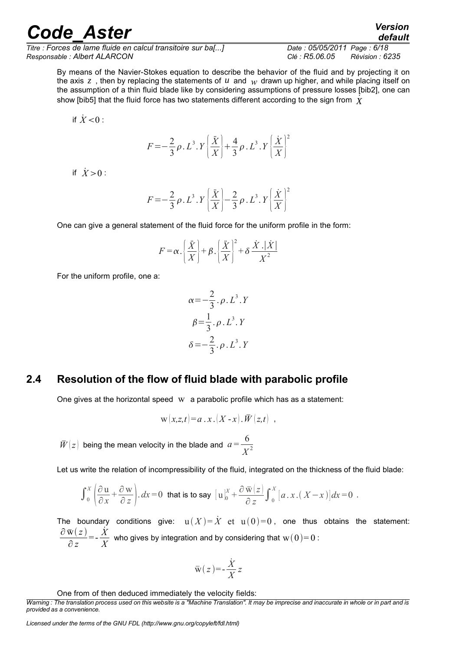*Titre : Forces de lame fluide en calcul transitoire sur ba[...] Date : 05/05/2011 Page : 6/18 Responsable : Albert ALARCON Clé : R5.06.05 Révision : 6235*

*default*

By means of the Navier-Stokes equation to describe the behavior of the fluid and by projecting it on the axis  $z$ , then by replacing the statements of  $u$  and  $w$  drawn up higher, and while placing itself on the assumption of a thin fluid blade like by considering assumptions of pressure losses [bib2], one can show [bib5] that the fluid force has two statements different according to the sign from *X*˙

if  $\dot{X}$  < 0 :

$$
F = -\frac{2}{3}\rho \cdot L^{3} \cdot Y \left[\frac{\ddot{X}}{X}\right] + \frac{4}{3}\rho \cdot L^{3} \cdot Y \left[\frac{\dot{X}}{X}\right]^{2}
$$

if  $\dot{X} > 0$ :

$$
F = -\frac{2}{3}\rho \cdot L^3 \cdot Y \left(\frac{\ddot{X}}{X}\right) - \frac{2}{3}\rho \cdot L^3 \cdot Y \left(\frac{\dot{X}}{X}\right)^2
$$

One can give a general statement of the fluid force for the uniform profile in the form:

$$
F = \alpha \cdot \left(\frac{\ddot{X}}{X}\right) + \beta \cdot \left(\frac{\ddot{X}}{X}\right)^2 + \delta \cdot \frac{\dot{X} \cdot |\dot{X}|}{X^2}
$$

For the uniform profile, one a:

$$
\alpha = -\frac{2}{3} \cdot \rho \cdot L^3 \cdot Y
$$

$$
\beta = \frac{1}{3} \cdot \rho \cdot L^3 \cdot Y
$$

$$
\delta = -\frac{2}{3} \cdot \rho \cdot L^3 \cdot Y
$$

#### **2.4 Resolution of the flow of fluid blade with parabolic profile**

<span id="page-5-0"></span>One gives at the horizontal speed  $w$  a parabolic profile which has as a statement:

$$
\mathbf{w}(x,z,t) = a \cdot x \cdot (X-x) \cdot \overline{W}(z,t) ,
$$

 $\bar{W}(z)$  being the mean velocity in the blade and  $a = \frac{6}{\pi z}$ *X* 2

Let us write the relation of incompressibility of the fluid, integrated on the thickness of the fluid blade:

$$
\int_0^x \left( \frac{\partial u}{\partial x} + \frac{\partial w}{\partial z} \right) dx = 0 \text{ that is to say } [u]_0^x + \frac{\partial \overline{w}(z)}{\partial z} \int_0^x [a \cdot x \cdot (X - x)] dx = 0.
$$

The boundary conditions give:  $u(X) = \dot{X}$  et  $u(0) = 0$ , one thus obtains the statement:  $\partial\, \bar{w}(\,z\,)$ ∂ *z*  $=-\frac{\dot{X}}{Y}$  $\frac{\lambda}{X}$  who gives by integration and by considering that  $\mathrm{w}(0)$ =0 :

$$
\bar{\mathbf{w}}(z) = -\frac{\dot{X}}{X}z
$$

One from of then deduced immediately the velocity fields:

*Warning : The translation process used on this website is a "Machine Translation". It may be imprecise and inaccurate in whole or in part and is provided as a convenience.*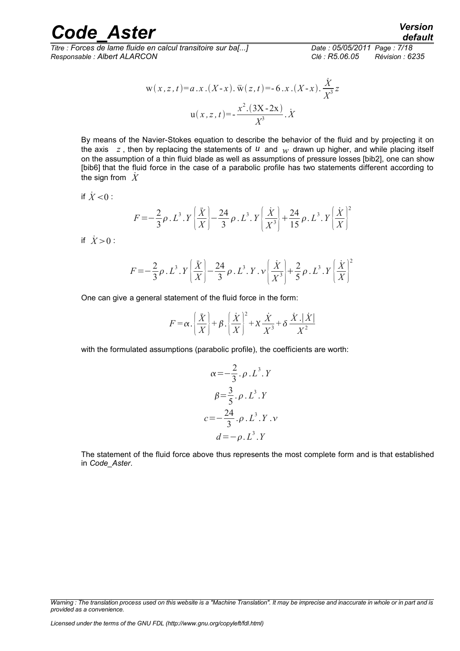*Titre : Forces de lame fluide en calcul transitoire sur ba[...] Date : 05/05/2011 Page : 7/18 Responsable : Albert ALARCON Clé : R5.06.05 Révision : 6235*

$$
w(x, z, t) = a.x.(X-x).\overline{w}(z, t) = -6.x.(X-x).\frac{\dot{X}}{X^3}z
$$

$$
u(x, z, t) = -\frac{x^2.(3X-2x)}{X^3}.\dot{X}
$$

By means of the Navier-Stokes equation to describe the behavior of the fluid and by projecting it on the axis  $z$ , then by replacing the statements of  $u$  and  $w$  drawn up higher, and while placing itself on the assumption of a thin fluid blade as well as assumptions of pressure losses [bib2], one can show [bib6] that the fluid force in the case of a parabolic profile has two statements different according to the sign from  $\dot{X}$ 

if  $\dot{X}$  < 0 :

$$
F = -\frac{2}{3}\rho \cdot L^3 \cdot Y \left[ \frac{\ddot{X}}{X} \right] - \frac{24}{3}\rho \cdot L^3 \cdot Y \left[ \frac{\dot{X}}{X^3} \right] + \frac{24}{15}\rho \cdot L^3 \cdot Y \left[ \frac{\dot{X}}{X} \right]^2
$$

if  $\dot{X} > 0$ :

$$
F = -\frac{2}{3}\rho \cdot L^3 \cdot Y \left[ \frac{\ddot{X}}{X} \right] - \frac{24}{3}\rho \cdot L^3 \cdot Y \cdot \nu \left[ \frac{\dot{X}}{X^3} \right] + \frac{2}{5}\rho \cdot L^3 \cdot Y \left[ \frac{\dot{X}}{X} \right]^2
$$

One can give a general statement of the fluid force in the form:

$$
F = \alpha \cdot \left(\frac{\ddot{X}}{X}\right) + \beta \cdot \left(\frac{\dot{X}}{X}\right)^2 + \chi \frac{\dot{X}}{X^3} + \delta \frac{\dot{X} \cdot |\dot{X}|}{X^2}
$$

with the formulated assumptions (parabolic profile), the coefficients are worth:

$$
\alpha = -\frac{2}{3} \cdot \rho \cdot L^{3} \cdot Y
$$
  

$$
\beta = \frac{3}{5} \cdot \rho \cdot L^{3} \cdot Y
$$
  

$$
c = -\frac{24}{3} \cdot \rho \cdot L^{3} \cdot Y \cdot V
$$
  

$$
d = -\rho \cdot L^{3} \cdot Y
$$

The statement of the fluid force above thus represents the most complete form and is that established in *Code\_Aster*.

*Warning : The translation process used on this website is a "Machine Translation". It may be imprecise and inaccurate in whole or in part and is provided as a convenience.*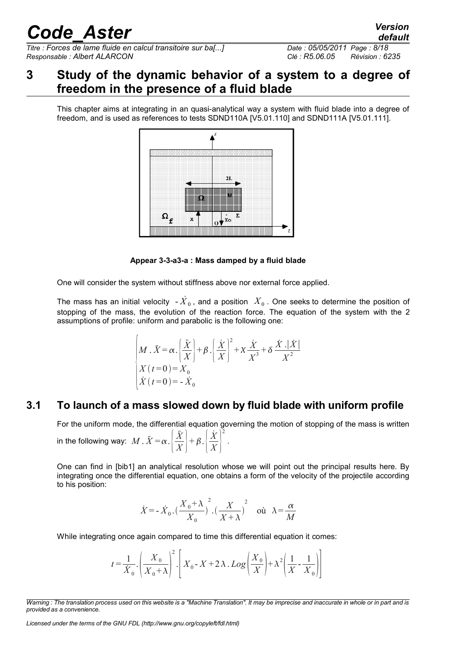*Titre : Forces de lame fluide en calcul transitoire sur ba[...] Date : 05/05/2011 Page : 8/18 Responsable : Albert ALARCON Clé : R5.06.05 Révision : 6235*

### <span id="page-7-1"></span>**3 Study of the dynamic behavior of a system to a degree of freedom in the presence of a fluid blade**

This chapter aims at integrating in an quasi-analytical way a system with fluid blade into a degree of freedom, and is used as references to tests SDND110A [V5.01.110] and SDND111A [V5.01.111].



**Appear 3-3-a3-a : Mass damped by a fluid blade**

One will consider the system without stiffness above nor external force applied.

The mass has an initial velocity  $-{\dot{X}}_0$ , and a position  $\;X_0$  . One seeks to determine the position of stopping of the mass, the evolution of the reaction force. The equation of the system with the 2 assumptions of profile: uniform and parabolic is the following one:

$$
\begin{cases}\nM \cdot \ddot{X} = \alpha \cdot \left(\frac{\ddot{X}}{X}\right) + \beta \cdot \left(\frac{\dot{X}}{X}\right)^2 + \chi \frac{\dot{X}}{X^3} + \delta \frac{\dot{X} \cdot |\dot{X}|}{X^2} \\
X(t=0) = X_0 \\
\dot{X}(t=0) = -\dot{X}_0\n\end{cases}
$$

#### **3.1 To launch of a mass slowed down by fluid blade with uniform profile**

<span id="page-7-0"></span>For the uniform mode, the differential equation governing the motion of stopping of the mass is written in the following way:  $\ M$  .  $\ddot{X}\!=\!\alpha.\left|\frac{\ddot{X}}{X}\right|$  $\frac{X}{X}$  +  $\beta$ .  $\frac{Z}{Z}$ *X*˙  $\overline{X}$ 2 .

One can find in [bib1] an analytical resolution whose we will point out the principal results here. By integrating once the differential equation, one obtains a form of the velocity of the projectile according to his position:

$$
\dot{X} = -\dot{X}_0 \cdot \left(\frac{X_0 + \lambda}{X_0}\right)^2 \cdot \left(\frac{X}{X + \lambda}\right)^2 \quad \text{out} \quad \lambda = \frac{\alpha}{M}
$$

While integrating once again compared to time this differential equation it comes:

$$
t = \frac{1}{\dot{X}_0} \cdot \left(\frac{X_0}{X_0 + \lambda}\right)^2 \cdot \left[X_0 - X + 2\lambda \cdot Log\left(\frac{X_0}{X}\right) + \lambda^2 \left(\frac{1}{X} - \frac{1}{X_0}\right)\right]
$$

*Licensed under the terms of the GNU FDL (http://www.gnu.org/copyleft/fdl.html)*

*default*

*Warning : The translation process used on this website is a "Machine Translation". It may be imprecise and inaccurate in whole or in part and is provided as a convenience.*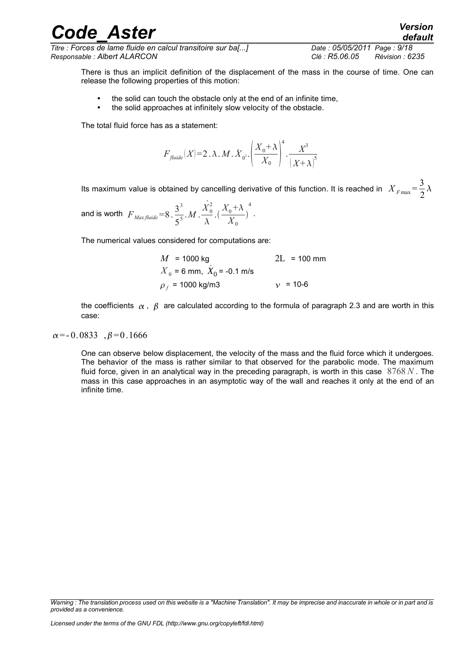*Titre : Forces de lame fluide en calcul transitoire sur ba[...] Date : 05/05/2011 Page : 9/18 Responsable : Albert ALARCON Clé : R5.06.05 Révision : 6235*

There is thus an implicit definition of the displacement of the mass in the course of time. One can release the following properties of this motion:

- the solid can touch the obstacle only at the end of an infinite time,
- the solid approaches at infinitely slow velocity of the obstacle.

The total fluid force has as a statement:

$$
F_{\textit{fluide}}(X)\text{=}2\text{ .}\,\lambda\text{ .}\,M\text{ .}\,\dot{X}_{0^2}\text{.}\left(\frac{X_0\text{+}\,\lambda}{X_0}\right)^{\!4}\text{.}\frac{X^3}{\text{.}\left(X\text{+}\,\lambda\right)^5}
$$

Its maximum value is obtained by cancelling derivative of this function. It is reached in  $|X_{F\text{max}}|= \frac{3}{2}$ 2  $\lambda$ 

and is worth  $\overline{F}_{Maxfluide} = 8 \cdot \frac{3^3}{5^5}$  $rac{3^3}{5^5}$ . *M* .  $rac{X_0^2}{\lambda}$  $\lambda$  $\frac{X_0 + \lambda}{V}$  $\frac{0}{X_0}$ 4 .

The numerical values considered for computations are:

| $M = 1000$ kg                  | $2L = 100$ mm |
|--------------------------------|---------------|
| $X_0$ = 6 mm, $X_0$ = -0.1 m/s |               |
| $\rho_f$ = 1000 kg/m3          | $v = 10-6$    |

the coefficients  $\alpha$ ,  $\beta$  are calculated according to the formula of paragraph 2.3 and are worth in this case:

 $\alpha$ =-0.0833  $\beta$ =0.1666

One can observe below displacement, the velocity of the mass and the fluid force which it undergoes. The behavior of the mass is rather similar to that observed for the parabolic mode. The maximum fluid force, given in an analytical way in the preceding paragraph, is worth in this case 8768 *N* . The mass in this case approaches in an asymptotic way of the wall and reaches it only at the end of an infinite time.

### *Code\_Aster Version*

*Warning : The translation process used on this website is a "Machine Translation". It may be imprecise and inaccurate in whole or in part and is provided as a convenience.*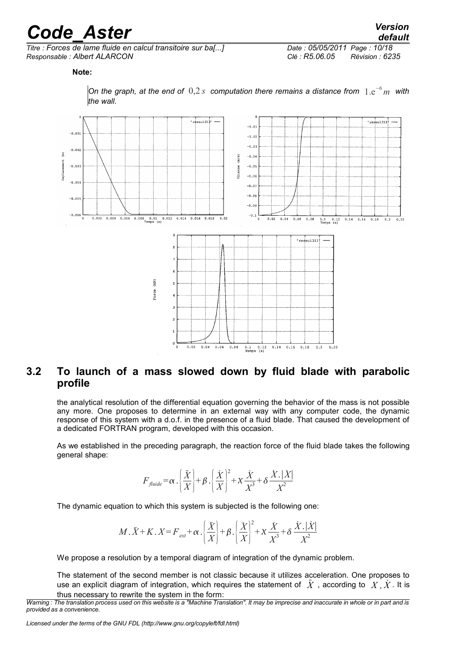*Titre : Forces de lame fluide en calcul transitoire sur ba[...] Date : 05/05/2011 Page : 10/18 Responsable : Albert ALARCON Clé : R5.06.05 Révision : 6235*

*default*

**Note:**



*On the graph, at the end of* 0,2 *s computation there remains a distance from* 1.e<sup>−</sup><sup>6</sup> *m with the wall.*

#### <span id="page-9-0"></span>**3.2 To launch of a mass slowed down by fluid blade with parabolic profile**

the analytical resolution of the differential equation governing the behavior of the mass is not possible any more. One proposes to determine in an external way with any computer code, the dynamic response of this system with a d.o.f. in the presence of a fluid blade. That caused the development of a dedicated FORTRAN program, developed with this occasion.

As we established in the preceding paragraph, the reaction force of the fluid blade takes the following general shape:

$$
F_{\text{fluide}} = \alpha \cdot \left(\frac{\ddot{X}}{X}\right) + \beta \cdot \left(\frac{\dot{X}}{X}\right)^2 + \chi \frac{\dot{X}}{X^3} + \delta \frac{\dot{X} \cdot |\dot{X}|}{X^2}
$$

The dynamic equation to which this system is subjected is the following one:

$$
M.\ddot{X} + K.\,X = F_{ext} + \alpha \cdot \left(\frac{\ddot{X}}{X}\right) + \beta \cdot \left(\frac{\dot{X}}{X}\right)^2 + \chi \cdot \frac{\dot{X}}{X^3} + \delta \cdot \frac{\dot{X} \cdot |\dot{X}|}{X^2}
$$

We propose a resolution by a temporal diagram of integration of the dynamic problem.

The statement of the second member is not classic because it utilizes acceleration. One proposes to use an explicit diagram of integration, which requires the statement of  $\tilde{X}$ , according to  $X, \tilde{X}$ . It is thus necessary to rewrite the system in the form:

*Warning : The translation process used on this website is a "Machine Translation". It may be imprecise and inaccurate in whole or in part and is provided as a convenience.*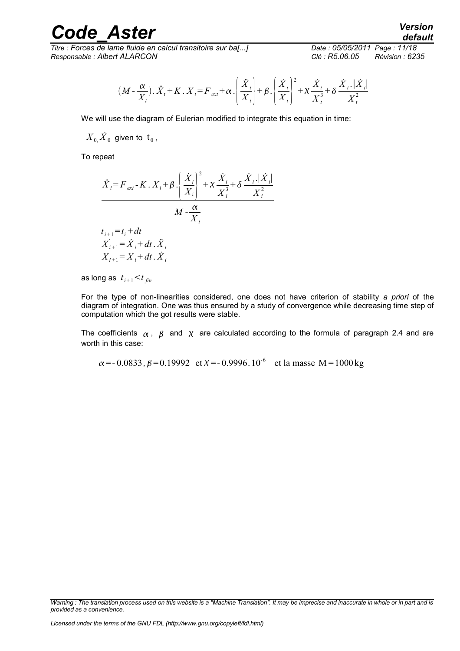*Titre : Forces de lame fluide en calcul transitoire sur ba[...] Date : 05/05/2011 Page : 11/18 Responsable : Albert ALARCON Clé : R5.06.05 Révision : 6235*

$$
(M - \frac{\alpha}{X_t}), \ddot{X}_t + K, X_t = F_{ext} + \alpha \cdot \left(\frac{\ddot{X}_t}{X_t}\right) + \beta \cdot \left(\frac{\dot{X}_t}{X_t}\right)^2 + \chi \frac{\dot{X}_t}{X_t^3} + \delta \frac{\dot{X}_t \cdot \dot{X}_t}{X_t^2}
$$

We will use the diagram of Eulerian modified to integrate this equation in time:

 $\overline{X}_0$ ,  $\overline{X}_0$  given to  $\overline{\mathfrak{t}}_0$  ,

To repeat

$$
\vec{X}_{i} = F_{ext} - K \cdot X_{i} + \beta \cdot \left(\frac{\dot{X}_{i}}{X_{i}}\right)^{2} + \chi \frac{\dot{X}_{i}}{X_{i}^{3}} + \delta \frac{\dot{X}_{i} \cdot |\dot{X}_{i}|}{X_{i}^{2}}
$$
\n
$$
M - \frac{\alpha}{X_{i}}
$$
\n
$$
t_{i+1} = t_{i} + dt
$$
\n
$$
X_{i+1} = \dot{X}_{i} + dt \cdot \ddot{X}_{i}
$$
\n
$$
X_{i+1} = X_{i} + dt \cdot \dot{X}_{i}
$$

as long as  $t_{i+1}$   $\lt t_{fin}$ 

For the type of non-linearities considered, one does not have criterion of stability *a priori* of the diagram of integration. One was thus ensured by a study of convergence while decreasing time step of computation which the got results were stable.

The coefficients  $\alpha$ ,  $\beta$  and  $\chi$  are calculated according to the formula of paragraph 2.4 and are worth in this case:

 $\alpha$  = - 0.0833,  $\beta$  = 0.19992 et  $\chi$  = - 0.9996.10<sup>-6</sup> et la masse M = 1000 kg

*Warning : The translation process used on this website is a "Machine Translation". It may be imprecise and inaccurate in whole or in part and is provided as a convenience.*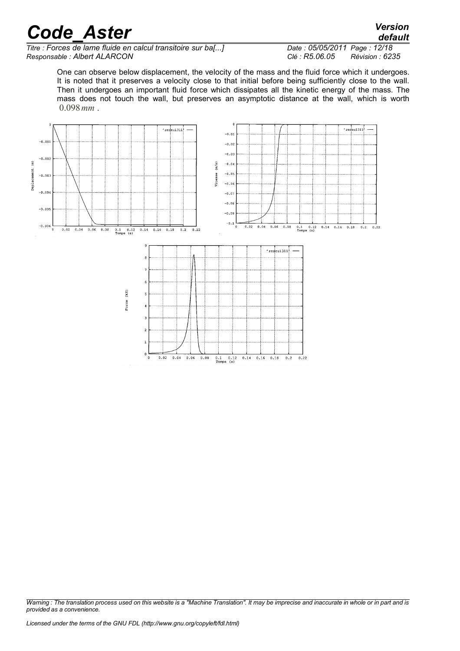*Titre : Forces de lame fluide en calcul transitoire sur ba[...] Date : 05/05/2011 Page : 12/18 Responsable : Albert ALARCON Clé : R5.06.05 Révision : 6235*

*default*

One can observe below displacement, the velocity of the mass and the fluid force which it undergoes. It is noted that it preserves a velocity close to that initial before being sufficiently close to the wall. Then it undergoes an important fluid force which dissipates all the kinetic energy of the mass. The mass does not touch the wall, but preserves an asymptotic distance at the wall, which is worth 0.098*mm* .



*Warning : The translation process used on this website is a "Machine Translation". It may be imprecise and inaccurate in whole or in part and is provided as a convenience.*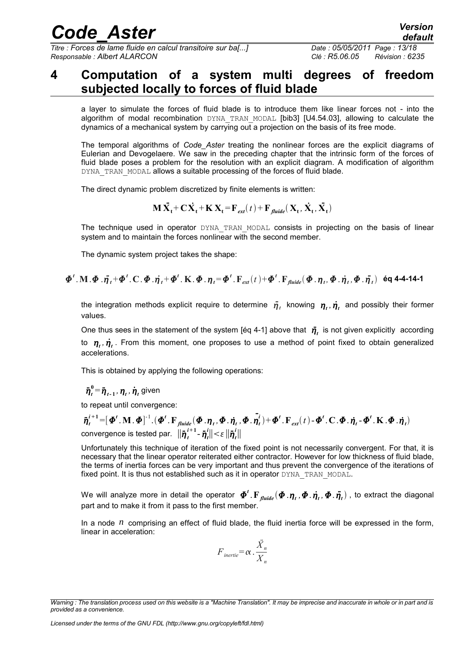*Titre : Forces de lame fluide en calcul transitoire sur ba[...] Date : 05/05/2011 Page : 13/18 Responsable : Albert ALARCON Clé : R5.06.05 Révision : 6235*

#### <span id="page-12-0"></span>**4 Computation of a system multi degrees of freedom subjected locally to forces of fluid blade**

a layer to simulate the forces of fluid blade is to introduce them like linear forces not - into the algorithm of modal recombination DYNA TRAN MODAL [bib3] [U4.54.03], allowing to calculate the dynamics of a mechanical system by carrying out a projection on the basis of its free mode.

The temporal algorithms of *Code\_Aster* treating the nonlinear forces are the explicit diagrams of Eulerian and Devogelaere. We saw in the preceding chapter that the intrinsic form of the forces of fluid blade poses a problem for the resolution with an explicit diagram. A modification of algorithm DYNA\_TRAN\_MODAL allows a suitable processing of the forces of fluid blade.

The direct dynamic problem discretized by finite elements is written:

$$
\mathbf{M}\ddot{\mathbf{X}_t} + \mathbf{C}\dot{\mathbf{X}_t} + \mathbf{K}\mathbf{X_t} = \mathbf{F}_{ext}(t) + \mathbf{F}_{\textit{fluide}}(\mathbf{X_t}, \dot{\mathbf{X}_t}, \ddot{\mathbf{X}_t})
$$

The technique used in operator DYNA TRAN MODAL consists in projecting on the basis of linear system and to maintain the forces nonlinear with the second member.

The dynamic system project takes the shape:

#### $\bm{\varPhi}^t$  ,  $\mathbf{M}$  ,  $\bm{\varPhi}$  ,  $\ddot{\bm{\eta}}_t + \bm{\varPhi}^t$  ,  $\mathbf{C}$  ,  $\bm{\varPhi}$  ,  $\dot{\bm{\eta}}_t + \bm{\varPhi}^t$  ,  $\mathbf{K}$  ,  $\bm{\varPhi}$  ,  $\bm{\eta}_t = \bm{\varPhi}^t$  ,  $\mathbf{F}_{ext}(t) + \bm{\varPhi}^t$  ,  $\mathbf{F}_{\textit{fluide}}(\bm{\varPhi}$  ,  $\bm{\eta}_t, \bm{\varPhi}$  ,  $\dot{\bm{\eta}}_$

the integration methods explicit require to determine  $\ddot{\eta}_t$  knowing  $\eta_t$ ,  $\dot{\eta}_t$  and possibly their former values.

One thus sees in the statement of the system [éq 4-1] above that  $\eta_t^*$  is not given explicitly according to  $\eta_{t}$ ,  $\dot{\eta}_{t}$ . From this moment, one proposes to use a method of point fixed to obtain generalized accelerations.

This is obtained by applying the following operations:

 $\ddot{\pmb{\eta}}_t^0 \! = \! \ddot{\pmb{\eta}}_{t\text{-}1}^{\vphantom{\dagger}}, \, \pmb{\eta}_t^{\vphantom{\dagger}}, \, \dot{\pmb{\eta}}_t^{\vphantom{\dagger}}$  given

to repeat until convergence:

 $\ddot{\boldsymbol{\eta}}_t^{i+1}\hspace{-0.05cm}=\hspace{-0.05cm}[\boldsymbol{\Phi}^t,\mathbf{M},\boldsymbol{\Phi}]^{-1}.(\boldsymbol{\Phi}^t,\mathbf{F}_{\textit{fluide}}(\boldsymbol{\Phi}_\cdot \boldsymbol{\eta}_t,\boldsymbol{\Phi}_\cdot \dot{\boldsymbol{\eta}}_t,\boldsymbol{\Phi}_\cdot \dot{\boldsymbol{\eta}}_t^{i})\hspace{-0.05cm}+\hspace{-0.05cm}\boldsymbol{\Phi}^t.\mathbf{F}_{\textit{ext}}(t)\hspace{-0.05cm}-\hspace{-0.05cm}\boldsymbol{\Phi}^t.\mathbf{C}.\boldsymbol{\Phi}_\cdot \dot{\boldsymbol$  $\mathsf{convergence}$  is tested par.  $\|\ddot{\boldsymbol{\eta}}_t^{i+1}\text{-}\ddot{\boldsymbol{\eta}}_t^{i}\| \!<\! \varepsilon \, \|\ddot{\boldsymbol{\eta}}_t^{i}\|$ 

Unfortunately this technique of iteration of the fixed point is not necessarily convergent. For that, it is necessary that the linear operator reiterated either contractor. However for low thickness of fluid blade, the terms of inertia forces can be very important and thus prevent the convergence of the iterations of fixed point. It is thus not established such as it in operator DYNA TRAN MODAL.

We will analyze more in detail the operator  $\bm{\varPhi}^t$  .  $F_{\textit{fluid}}(\bm{\varPhi}$  . $\bm{\eta}_t$  ,  $\bm{\varPhi}$  .  $\ddot{\bm{\eta}}_t$  ) , to extract the diagonal part and to make it from it pass to the first member.

In a node  $n$  comprising an effect of fluid blade, the fluid inertia force will be expressed in the form, linear in acceleration:

$$
F_{\text{inertie}} = \alpha \cdot \frac{\ddot{X}_n}{X_n}
$$

*Warning : The translation process used on this website is a "Machine Translation". It may be imprecise and inaccurate in whole or in part and is provided as a convenience.*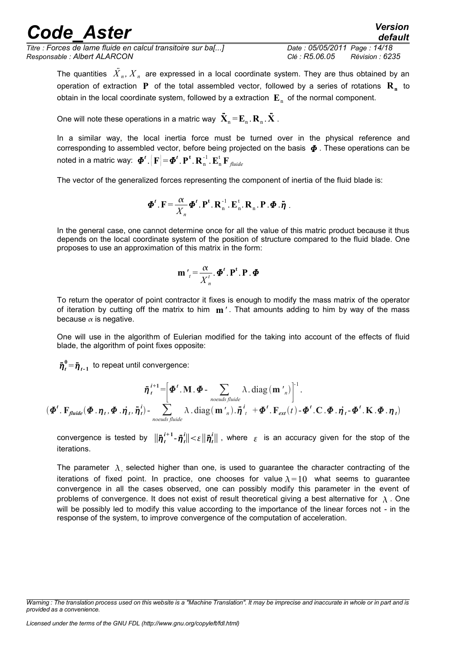*Titre : Forces de lame fluide en calcul transitoire sur ba[...] Date : 05/05/2011 Page : 14/18 Responsable : Albert ALARCON Clé : R5.06.05 Révision : 6235*

*default*

The quantities  $\stackrel{\cdot}{X}_n$ ,  $\stackrel{\cdot}{X}_n$  are expressed in a local coordinate system. They are thus obtained by an operation of extraction **P** of the total assembled vector, followed by a series of rotations **R<sup>n</sup>** to obtain in the local coordinate system, followed by a extraction  $\mathbf{E}_{_\mathrm{n}}$  of the normal component.

One will note these operations in a matric way  $\ddot{\mathbf{X}}_n \! = \! \mathbf{E}_{_n}$  .  $\mathbf{R}_{_n}$  .  $\ddot{\mathbf{X}}$  .

In a similar way, the local inertia force must be turned over in the physical reference and corresponding to assembled vector, before being projected on the basis  $\Phi$ . These operations can be noted in a matric way:  $\boldsymbol{\varPhi}^t$   $\left[ \mathbf{F} \right]\! =\! \boldsymbol{\varPhi}^t$  .  $\mathbf{P}^{\mathsf{t}}$  .  $\mathbf{R}^{\mathsf{t}}_{\mathsf{n}}$   $\cdot \mathbf{E}^{\mathsf{t}}_{\mathsf{n}}$   $\mathbf{F}_{\mathsf{fluid}}$ 

The vector of the generalized forces representing the component of inertia of the fluid blade is:

$$
\boldsymbol{\Phi}^{t}.\mathbf{F} = \frac{\alpha}{X_n} \boldsymbol{\Phi}^{t}.\mathbf{P}^{t}.\mathbf{R}_n^{-1}.\mathbf{E}_n^{t}.\mathbf{R}_n.\mathbf{P}.\boldsymbol{\Phi}.\ddot{\boldsymbol{\eta}}.
$$

In the general case, one cannot determine once for all the value of this matric product because it thus depends on the local coordinate system of the position of structure compared to the fluid blade. One proposes to use an approximation of this matrix in the form:

$$
\mathbf{m'}_t = \frac{\alpha}{X_n^t} \cdot \mathbf{\Phi}^t \cdot \mathbf{P}^t \cdot \mathbf{P} \cdot \mathbf{\Phi}
$$

To return the operator of point contractor it fixes is enough to modify the mass matrix of the operator of iteration by cutting off the matrix to him **m***'* . That amounts adding to him by way of the mass because  $\alpha$  is negative.

One will use in the algorithm of Eulerian modified for the taking into account of the effects of fluid blade, the algorithm of point fixes opposite:

 $\ddot{\boldsymbol{\eta}}_t^0$  =  $\ddot{\boldsymbol{\eta}}_{t-1}$  to repeat until convergence:

$$
\ddot{\boldsymbol{\eta}}_t^{i+1} = \left[\boldsymbol{\Phi}^t \cdot \mathbf{M} \cdot \boldsymbol{\Phi} - \sum_{\text{noeuds},\text{fluide}} \lambda \cdot \text{diag}\left(\mathbf{m'}_n\right)\right]^{-1}.
$$
  

$$
(\boldsymbol{\Phi}^t \cdot \mathbf{F}_{\text{fluide}}(\boldsymbol{\Phi} \cdot \boldsymbol{\eta}_t, \boldsymbol{\Phi} \cdot \dot{\boldsymbol{\eta}}_t, \ddot{\boldsymbol{\eta}}_t) - \sum_{\text{noeuds},\text{fluide}} \lambda \cdot \text{diag}\left(\mathbf{m'}_n\right) \cdot \ddot{\boldsymbol{\eta}}_t^{i} + \boldsymbol{\Phi}^t \cdot \mathbf{F}_{\text{ext}}(t) - \boldsymbol{\Phi}^t \cdot \mathbf{C} \cdot \boldsymbol{\Phi} \cdot \dot{\boldsymbol{\eta}}_t - \boldsymbol{\Phi}^t \cdot \mathbf{K} \cdot \boldsymbol{\Phi} \cdot \boldsymbol{\eta}_t)
$$

convergence is tested by  $\|\ddot{\eta}^{i+1}_t - \ddot{\eta}^{i}_t\| < \varepsilon \|\ddot{\eta}^{i}_t\|$  , where  $|\varepsilon|$  is an accuracy given for the stop of the iterations.

The parameter  $\lambda$ , selected higher than one, is used to guarantee the character contracting of the iterations of fixed point. In practice, one chooses for value  $\lambda=10$  what seems to quarantee convergence in all the cases observed, one can possibly modify this parameter in the event of problems of convergence. It does not exist of result theoretical giving a best alternative for  $\lambda$ . One will be possibly led to modify this value according to the importance of the linear forces not - in the response of the system, to improve convergence of the computation of acceleration.

*Warning : The translation process used on this website is a "Machine Translation". It may be imprecise and inaccurate in whole or in part and is provided as a convenience.*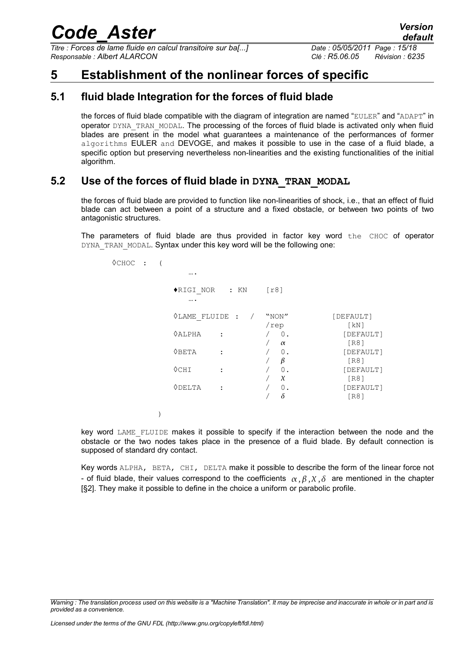*Titre : Forces de lame fluide en calcul transitoire sur ba[...] Date : 05/05/2011 Page : 15/18 Responsable : Albert ALARCON Clé : R5.06.05 Révision : 6235*

### <span id="page-14-2"></span>**5 Establishment of the nonlinear forces of specific**

#### **5.1 fluid blade Integration for the forces of fluid blade**

<span id="page-14-1"></span>the forces of fluid blade compatible with the diagram of integration are named "EULER" and "ADAPT" in operator DYNA\_TRAN\_MODAL. The processing of the forces of fluid blade is activated only when fluid blades are present in the model what guarantees a maintenance of the performances of former algorithms EULER and DEVOGE, and makes it possible to use in the case of a fluid blade, a specific option but preserving nevertheless non-linearities and the existing functionalities of the initial algorithm.

#### **5.2 Use of the forces of fluid blade in DYNA\_TRAN\_MODAL**

<span id="page-14-0"></span>the forces of fluid blade are provided to function like non-linearities of shock, i.e., that an effect of fluid blade can act between a point of a structure and a fixed obstacle, or between two points of two antagonistic structures.

The parameters of fluid blade are thus provided in factor key word the CHOC of operator DYNA TRAN MODAL. Syntax under this key word will be the following one:

| $\Diamond$ CHOC : |                  |                  |                            |                   |                           |
|-------------------|------------------|------------------|----------------------------|-------------------|---------------------------|
|                   |                  | .                |                            |                   |                           |
|                   |                  |                  | ◆RIGI NOR : KN             | [r8]              |                           |
|                   |                  |                  | $\Diamond$ LAME FLUIDE : / | "NON"<br>/rep     | [DEFAULT]<br>[KN]         |
|                   | $\Diamond$ ALPHA |                  | $0$ .                      | [DEFAULT]<br>[R8] |                           |
|                   | $\Diamond$ BETA  | $\ddot{\cdot}$   | $\alpha$<br>0.<br>$\beta$  | [DEFAULT]         |                           |
|                   |                  | $\Diamond$ CHI   | $\ddot{\cdot}$             | 0.<br>$\chi$      | [R8]<br>[DEFAULT]         |
|                   |                  | $\lozenge$ DELTA | $\ddot{\cdot}$             | 0.<br>$\delta$    | [R8]<br>[DEFAULT]<br>[R8] |
|                   |                  |                  |                            |                   |                           |

key word LAME\_FLUIDE makes it possible to specify if the interaction between the node and the obstacle or the two nodes takes place in the presence of a fluid blade. By default connection is supposed of standard dry contact.

Key words ALPHA, BETA, CHI, DELTA make it possible to describe the form of the linear force not - of fluid blade, their values correspond to the coefficients  $\alpha$ ,  $\beta$ ,  $\lambda$ ,  $\delta$  are mentioned in the chapter [§2]. They make it possible to define in the choice a uniform or parabolic profile.

*Warning : The translation process used on this website is a "Machine Translation". It may be imprecise and inaccurate in whole or in part and is provided as a convenience.*

)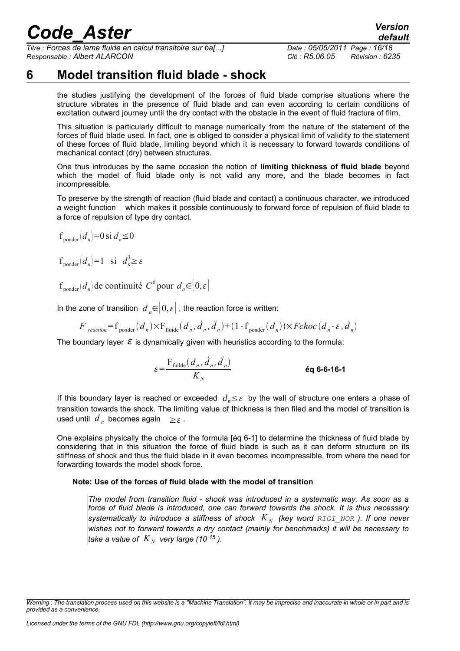*Titre : Forces de lame fluide en calcul transitoire sur ba[...] Date : 05/05/2011 Page : 16/18 Responsable : Albert ALARCON Clé : R5.06.05 Révision : 6235*

### **6 Model transition fluid blade - shock**

<span id="page-15-0"></span>the studies justifying the development of the forces of fluid blade comprise situations where the structure vibrates in the presence of fluid blade and can even according to certain conditions of excitation outward journey until the dry contact with the obstacle in the event of fluid fracture of film.

This situation is particularly difficult to manage numerically from the nature of the statement of the forces of fluid blade used. In fact, one is obliged to consider a physical limit of validity to the statement of these forces of fluid blade, limiting beyond which it is necessary to forward towards conditions of mechanical contact (dry) between structures.

One thus introduces by the same occasion the notion of **limiting thickness of fluid blade** beyond which the model of fluid blade only is not valid any more, and the blade becomes in fact incompressible.

To preserve by the strength of reaction (fluid blade and contact) a continuous character, we introduced a weight function which makes it possible continuously to forward force of repulsion of fluid blade to a force of repulsion of type dry contact.

 $f_{\text{ponder}}(d_n) = 0 \text{ si } d_n \leq 0$ 

 $f_{\text{ponder}}(d_n) = 1 \text{ si } d_n^3 \ge \varepsilon$ 

 $f_{\text{ponder}}(d_n)$  de continuité  $C^0$  pour  $d_n \in [0, \varepsilon]$ 

In the zone of transition  $d \in [0,\varepsilon]$ , the reaction force is written:

$$
F_{\text{reaction}} = f_{\text{ponder}}(d_n) \times F_{\text{fluide}}(d_n, \dot{d}_n, \ddot{d}_n) + (1 - f_{\text{ponder}}(d_n)) \times \text{Fchoc}(d_n - \varepsilon, \dot{d}_n)
$$

The boundary layer  $\varepsilon$  is dynamically given with heuristics according to the formula:

 $\epsilon = \frac{\mathrm{F}_{\mathrm{fullde}}(d_n, \dot{d}_n, \ddot{d}_n)}{K}$ *K<sup>N</sup>* **éq 6-6-16-1**

If this boundary layer is reached or exceeded  $d_n ≤ ε$  by the wall of structure one enters a phase of transition towards the shock. The limiting value of thickness is then filed and the model of transition is used until  $d_n$  becomes again  $\geq \varepsilon$ .

One explains physically the choice of the formula [éq 6-1] to determine the thickness of fluid blade by considering that in this situation the force of fluid blade is such as it can deform structure on its stiffness of shock and thus the fluid blade in it even becomes incompressible, from where the need for forwarding towards the model shock force.

#### **Note: Use of the forces of fluid blade with the model of transition**

*The model from transition fluid - shock was introduced in a systematic way. As soon as a force of fluid blade is introduced, one can forward towards the shock. It is thus necessary systematically to introduce a stiffness of shock*  $K_N$  *(key word RIGI\_NOR ). If one never wishes not to forward towards a dry contact (mainly for benchmarks) it will be necessary to take a value of*  $K_N$  *very large (10<sup>15</sup>).* 

*Warning : The translation process used on this website is a "Machine Translation". It may be imprecise and inaccurate in whole or in part and is provided as a convenience.*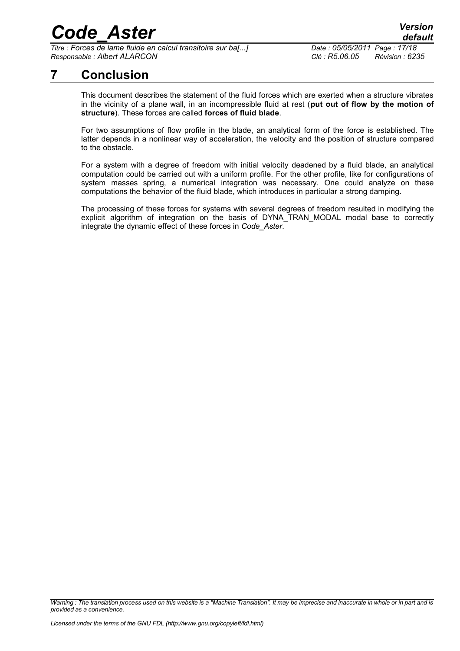*Titre : Forces de lame fluide en calcul transitoire sur ba[...] Date : 05/05/2011 Page : 17/18 Responsable : Albert ALARCON Clé : R5.06.05 Révision : 6235*

### **7 Conclusion**

<span id="page-16-0"></span>This document describes the statement of the fluid forces which are exerted when a structure vibrates in the vicinity of a plane wall, in an incompressible fluid at rest (**put out of flow by the motion of structure**). These forces are called **forces of fluid blade**.

For two assumptions of flow profile in the blade, an analytical form of the force is established. The latter depends in a nonlinear way of acceleration, the velocity and the position of structure compared to the obstacle.

For a system with a degree of freedom with initial velocity deadened by a fluid blade, an analytical computation could be carried out with a uniform profile. For the other profile, like for configurations of system masses spring, a numerical integration was necessary. One could analyze on these computations the behavior of the fluid blade, which introduces in particular a strong damping.

The processing of these forces for systems with several degrees of freedom resulted in modifying the explicit algorithm of integration on the basis of DYNA\_TRAN\_MODAL modal base to correctly integrate the dynamic effect of these forces in *Code\_Aster*.

*Warning : The translation process used on this website is a "Machine Translation". It may be imprecise and inaccurate in whole or in part and is provided as a convenience.*